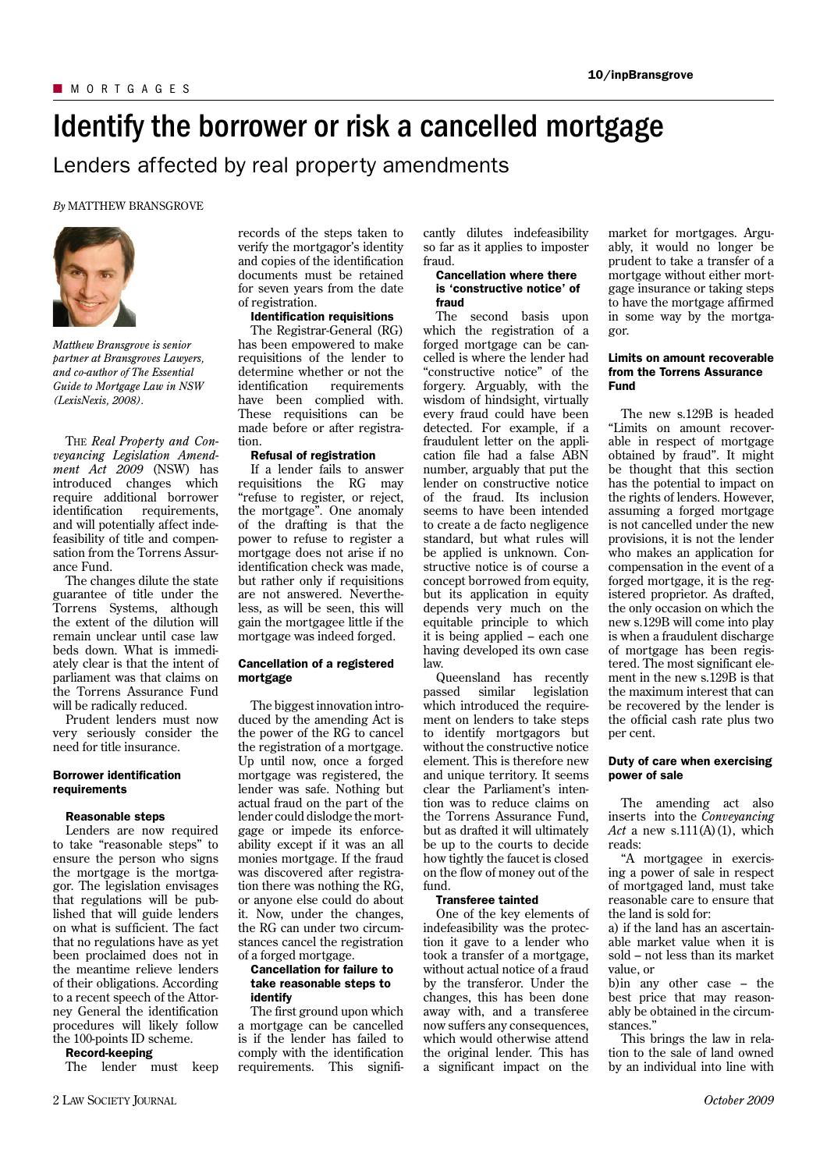# Identify the borrower or risk a cancelled mortgage

Lenders affected by real property amendments

# *By* MATTHEW BRANSGROVE



*Matthew Bransgrove is senior partner at Bransgroves Lawyers, and co-author of The Essential Guide to Mortgage Law in NSW (LexisNexis, 2008).*

THE *Real Property and Conveyancing Legislation Amendment Act 2009* (NSW) has introduced changes which require additional borrower identification requirements. and will potentially affect indefeasibility of title and compensation from the Torrens Assurance Fund.

The changes dilute the state guarantee of title under the Torrens Systems, although the extent of the dilution will remain unclear until case law beds down. What is immediately clear is that the intent of parliament was that claims on the Torrens Assurance Fund will be radically reduced.

Prudent lenders must now very seriously consider the need for title insurance.

# **Borrower identification** requirements

#### Reasonable steps

Lenders are now required to take "reasonable steps" to ensure the person who signs the mortgage is the mortgagor. The legislation envisages that regulations will be published that will guide lenders on what is sufficient. The fact that no regulations have as yet been proclaimed does not in the meantime relieve lenders of their obligations. According to a recent speech of the Attorney General the identification procedures will likely follow the 100-points ID scheme.

#### Record-keeping

The lender must keep

records of the steps taken to verify the mortgagor's identity and copies of the identification documents must be retained for seven years from the date of registration.

# **Identification requisitions**

The Registrar-General (RG) has been empowered to make requisitions of the lender to determine whether or not the identification requirements have been complied with. These requisitions can be made before or after registration.

## Refusal of registration

If a lender fails to answer requisitions the RG may "refuse to register, or reject, the mortgage". One anomaly of the drafting is that the power to refuse to register a mortgage does not arise if no identification check was made, but rather only if requisitions are not answered. Nevertheless, as will be seen, this will gain the mortgagee little if the mortgage was indeed forged.

#### Cancellation of a registered mortgage

The biggest innovation introduced by the amending Act is the power of the RG to cancel the registration of a mortgage. Up until now, once a forged mortgage was registered, the lender was safe. Nothing but actual fraud on the part of the lender could dislodge the mortgage or impede its enforceability except if it was an all monies mortgage. If the fraud was discovered after registration there was nothing the RG, or anyone else could do about it. Now, under the changes, the RG can under two circumstances cancel the registration of a forged mortgage.

## Cancellation for failure to take reasonable steps to identify

The first ground upon which a mortgage can be cancelled is if the lender has failed to comply with the identification requirements. This significantly dilutes indefeasibility so far as it applies to imposter fraud.

#### Cancellation where there is 'constructive notice' of fraud

The second basis upon which the registration of a forged mortgage can be cancelled is where the lender had "constructive notice" of the forgery. Arguably, with the wisdom of hindsight, virtually every fraud could have been detected. For example, if a fraudulent letter on the application file had a false ABN number, arguably that put the lender on constructive notice of the fraud. Its inclusion seems to have been intended to create a de facto negligence standard, but what rules will be applied is unknown. Constructive notice is of course a concept borrowed from equity, but its application in equity depends very much on the equitable principle to which it is being applied – each one having developed its own case law.

Queensland has recently passed similar legislation which introduced the requirement on lenders to take steps to identify mortgagors but without the constructive notice element. This is therefore new and unique territory. It seems clear the Parliament's intention was to reduce claims on the Torrens Assurance Fund, but as drafted it will ultimately be up to the courts to decide how tightly the faucet is closed on the flow of money out of the fund.

## Transferee tainted

One of the key elements of indefeasibility was the protection it gave to a lender who took a transfer of a mortgage, without actual notice of a fraud by the transferor. Under the changes, this has been done away with, and a transferee now suffers any consequences, which would otherwise attend the original lender. This has a significant impact on the

market for mortgages. Arguably, it would no longer be prudent to take a transfer of a mortgage without either mortgage insurance or taking steps to have the mortgage affirmed in some way by the mortgagor.

## Limits on amount recoverable from the Torrens Assurance Fund

The new s.129B is headed "Limits on amount recoverable in respect of mortgage obtained by fraud". It might be thought that this section has the potential to impact on the rights of lenders. However, assuming a forged mortgage is not cancelled under the new provisions, it is not the lender who makes an application for compensation in the event of a forged mortgage, it is the registered proprietor. As drafted, the only occasion on which the new s.129B will come into play is when a fraudulent discharge of mortgage has been registered. The most significant element in the new s.129B is that the maximum interest that can be recovered by the lender is the official cash rate plus two per cent.

# Duty of care when exercising power of sale

The amending act also inserts into the *Conveyancing*   $Act$  a new  $s.111(A)(1)$ , which reads:

"A mortgagee in exercising a power of sale in respect of mortgaged land, must take reasonable care to ensure that the land is sold for:

a) if the land has an ascertainable market value when it is sold – not less than its market value, or

b)in any other case – the best price that may reasonably be obtained in the circumstances.'

This brings the law in relation to the sale of land owned by an individual into line with